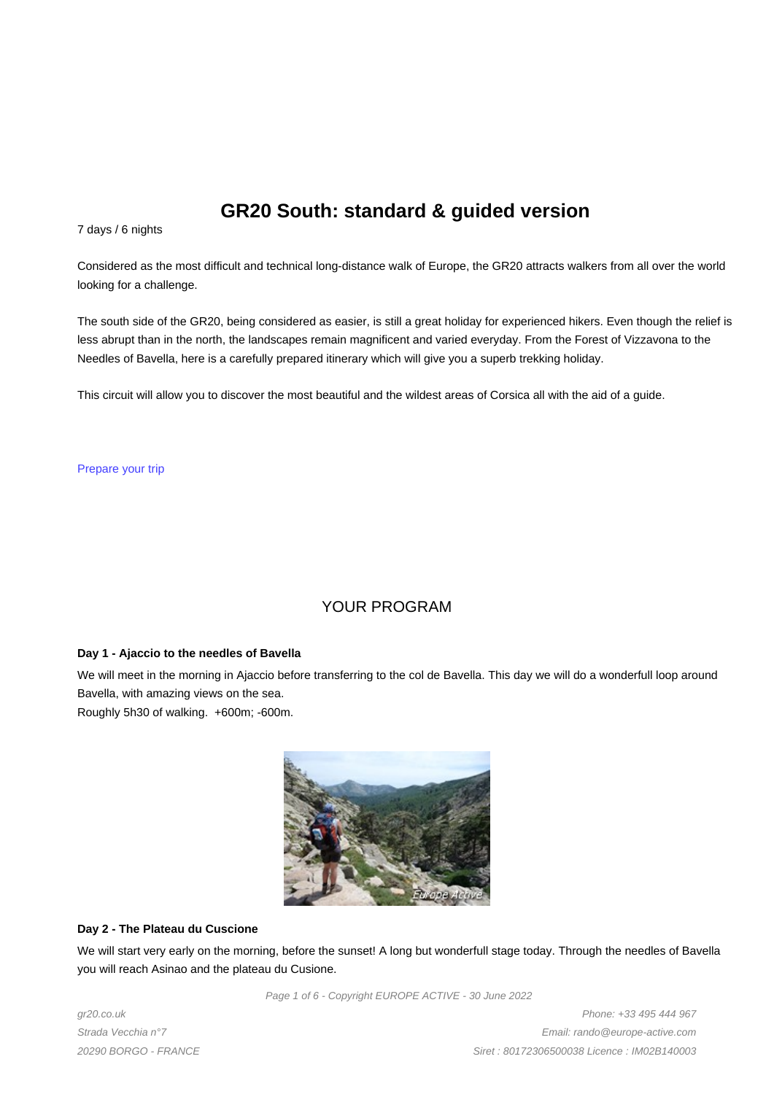# **GR20 South: standard & guided version**

7 days / 6 nights

Considered as the most difficult and technical long-distance walk of Europe, the GR20 attracts walkers from all over the world looking for a challenge.

The south side of the GR20, being considered as easier, is still a great holiday for experienced hikers. Even though the relief is less abrupt than in the north, the landscapes remain magnificent and varied everyday. From the Forest of Vizzavona to the Needles of Bavella, here is a carefully prepared itinerary which will give you a superb trekking holiday.

This circuit will allow you to discover the most beautiful and the wildest areas of Corsica all with the aid of a guide.

Prepare your trip

# YOUR PROGRAM

#### **Day 1 - Ajaccio to the needles of Bavella**

We will meet in the morning in Ajaccio before transferring to the col de Bavella. This day we will do a wonderfull loop around Bavella, with amazing views on the sea.

Roughly 5h30 of walking. +600m; -600m.



### **Day 2 - The Plateau du Cuscione**

We will start very early on the morning, before the sunset! A long but wonderfull stage today. Through the needles of Bavella you will reach Asinao and the plateau du Cusione.

Page 1 of 6 - Copyright EUROPE ACTIVE - 30 June 2022

gr20.co.uk Strada Vecchia n°7 20290 BORGO - FRANCE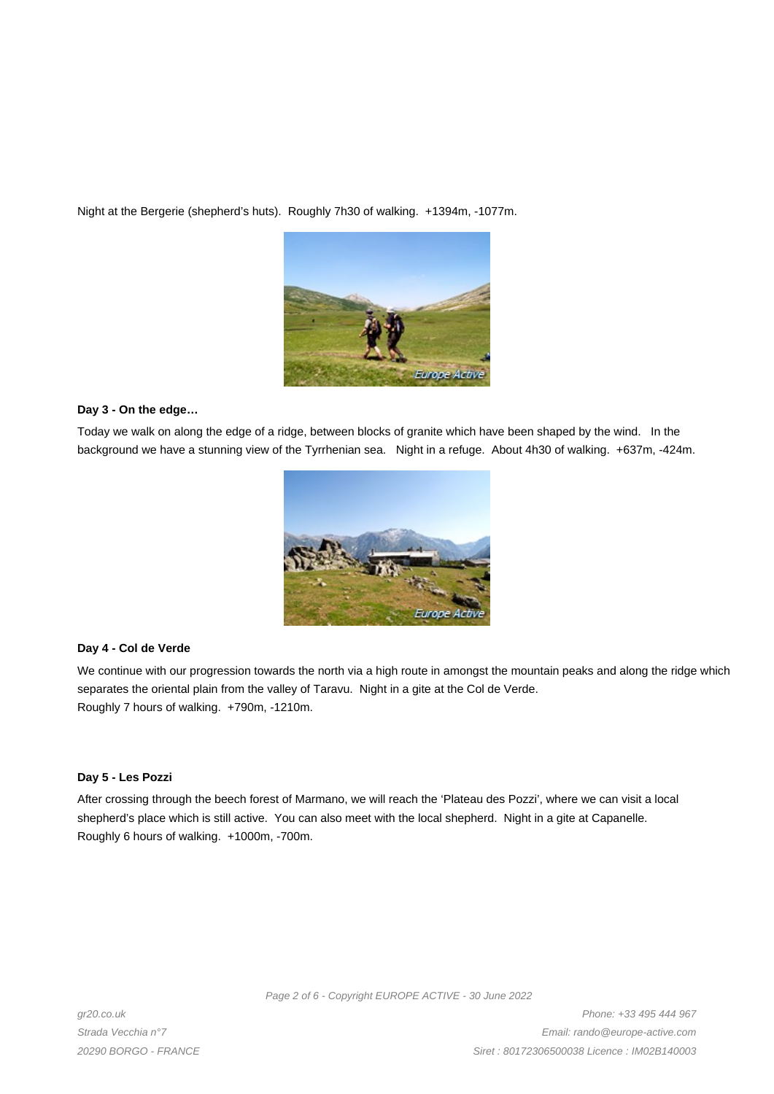Night at the Bergerie (shepherd's huts). Roughly 7h30 of walking. +1394m, -1077m.



### **Day 3 - On the edge…**

Today we walk on along the edge of a ridge, between blocks of granite which have been shaped by the wind. In the background we have a stunning view of the Tyrrhenian sea. Night in a refuge. About 4h30 of walking. +637m, -424m.



### **Day 4 - Col de Verde**

We continue with our progression towards the north via a high route in amongst the mountain peaks and along the ridge which separates the oriental plain from the valley of Taravu. Night in a gite at the Col de Verde. Roughly 7 hours of walking. +790m, -1210m.

### **Day 5 - Les Pozzi**

After crossing through the beech forest of Marmano, we will reach the 'Plateau des Pozzi', where we can visit a local shepherd's place which is still active. You can also meet with the local shepherd. Night in a gite at Capanelle. Roughly 6 hours of walking. +1000m, -700m.

Page 2 of 6 - Copyright EUROPE ACTIVE - 30 June 2022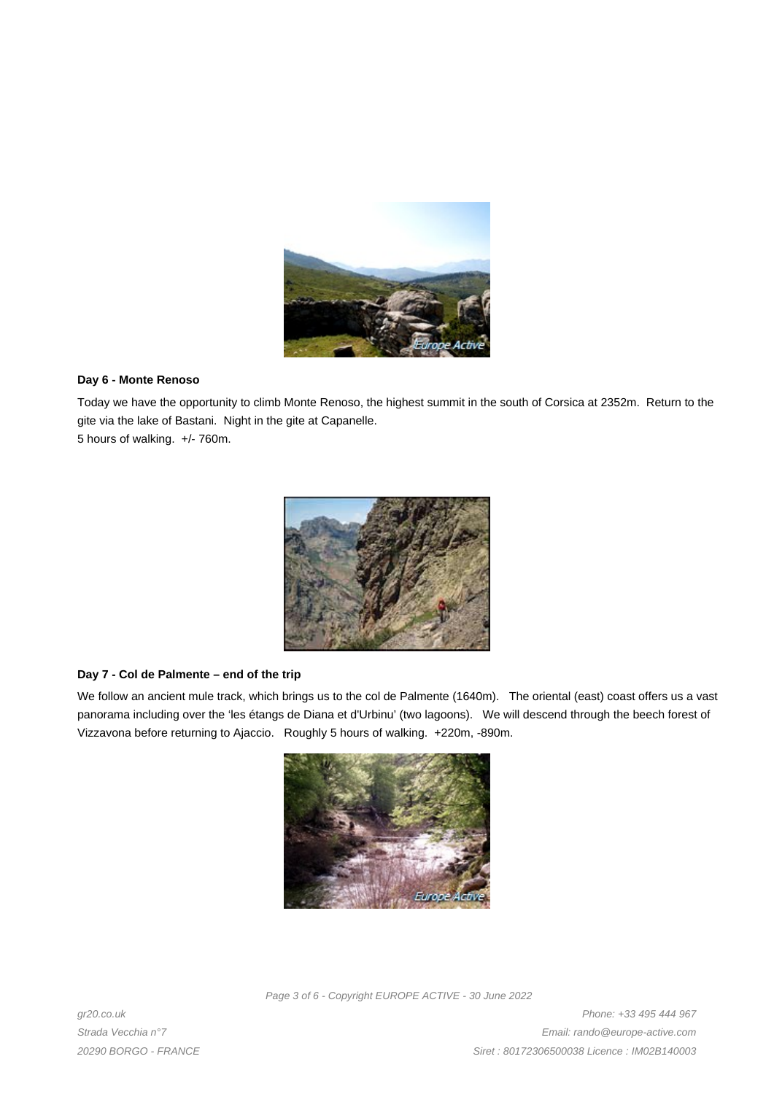

## **Day 6 - Monte Renoso**

Today we have the opportunity to climb Monte Renoso, the highest summit in the south of Corsica at 2352m. Return to the gite via the lake of Bastani. Night in the gite at Capanelle.

5 hours of walking. +/- 760m.



### **Day 7 - Col de Palmente – end of the trip**

We follow an ancient mule track, which brings us to the col de Palmente (1640m). The oriental (east) coast offers us a vast panorama including over the 'les étangs de Diana et d'Urbinu' (two lagoons). We will descend through the beech forest of Vizzavona before returning to Ajaccio. Roughly 5 hours of walking. +220m, -890m.



Page 3 of 6 - Copyright EUROPE ACTIVE - 30 June 2022

gr20.co.uk Strada Vecchia n°7 20290 BORGO - FRANCE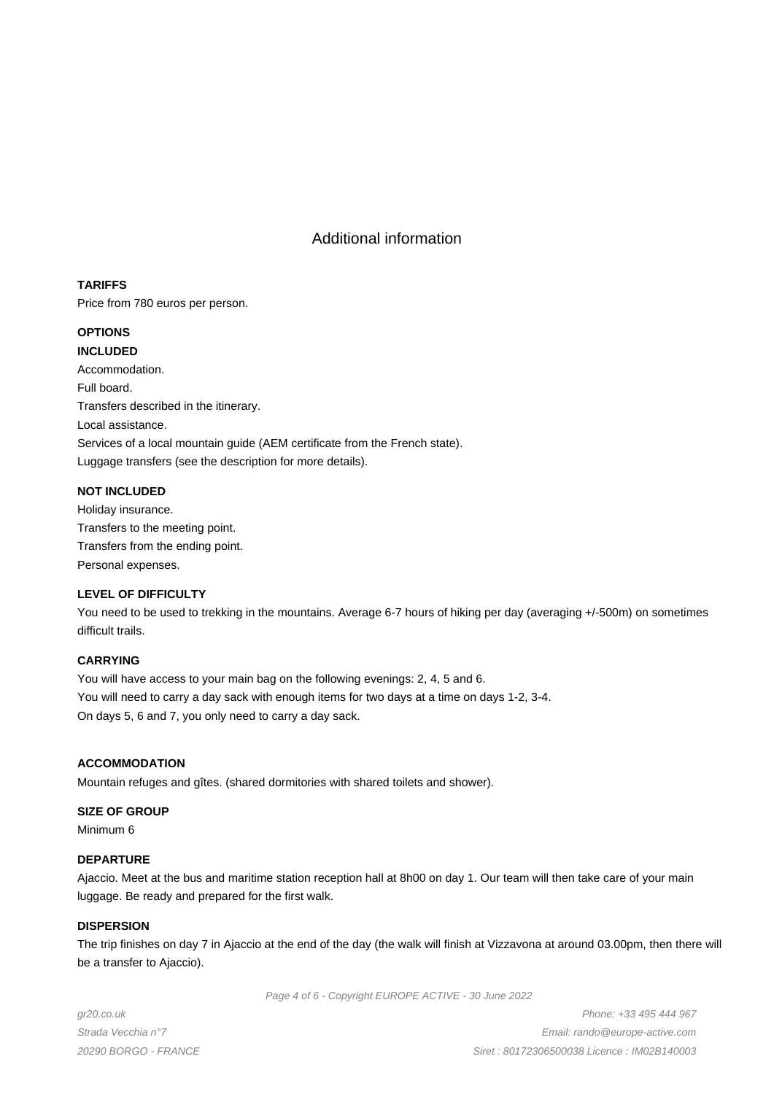# Additional information

# **TARIFFS**

Price from 780 euros per person.

# **OPTIONS**

**INCLUDED**

Accommodation. Full board. Transfers described in the itinerary. Local assistance. Services of a local mountain guide (AEM certificate from the French state). Luggage transfers (see the description for more details).

# **NOT INCLUDED**

Holiday insurance. Transfers to the meeting point. Transfers from the ending point. Personal expenses.

### **LEVEL OF DIFFICULTY**

You need to be used to trekking in the mountains. Average 6-7 hours of hiking per day (averaging +/-500m) on sometimes difficult trails.

# **CARRYING**

You will have access to your main bag on the following evenings: 2, 4, 5 and 6. You will need to carry a day sack with enough items for two days at a time on days 1-2, 3-4. On days 5, 6 and 7, you only need to carry a day sack.

## **ACCOMMODATION**

Mountain refuges and gîtes. (shared dormitories with shared toilets and shower).

### **SIZE OF GROUP**

Minimum 6

### **DEPARTURE**

Ajaccio. Meet at the bus and maritime station reception hall at 8h00 on day 1. Our team will then take care of your main luggage. Be ready and prepared for the first walk.

### **DISPERSION**

The trip finishes on day 7 in Ajaccio at the end of the day (the walk will finish at Vizzavona at around 03.00pm, then there will be a transfer to Ajaccio).

Page 4 of 6 - Copyright EUROPE ACTIVE - 30 June 2022

gr20.co.uk Strada Vecchia n°7 20290 BORGO - FRANCE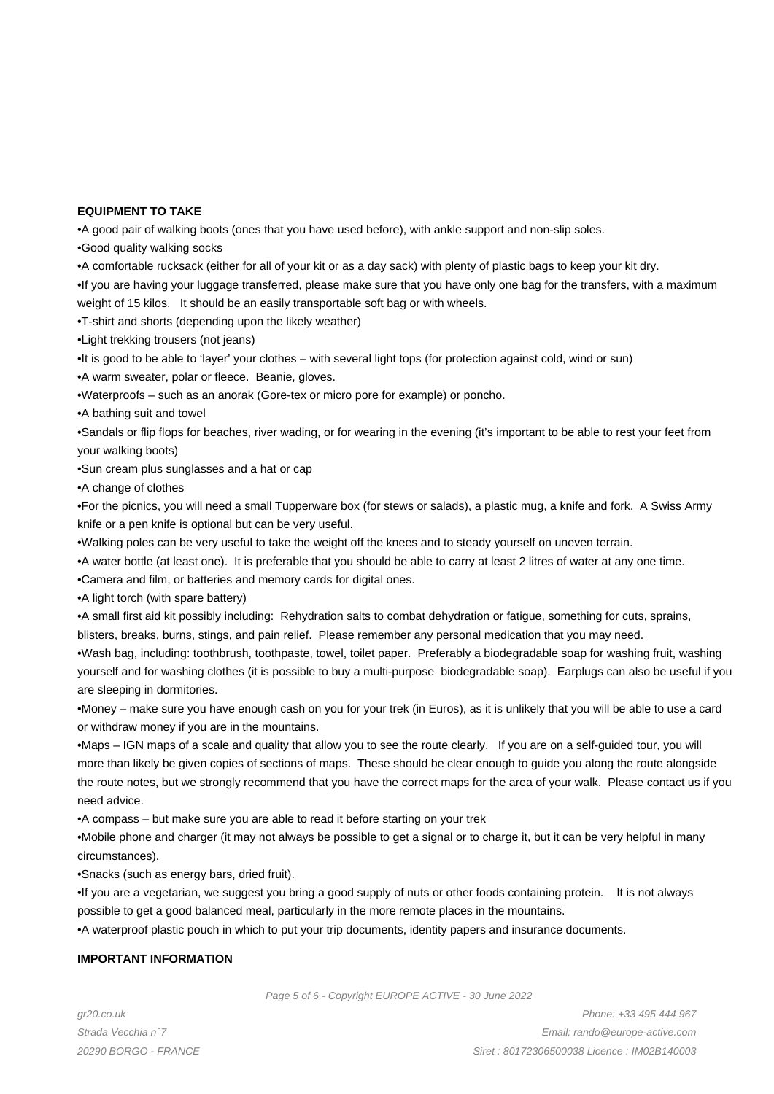### **EQUIPMENT TO TAKE**

• A good pair of walking boots (ones that you have used before), with ankle support and non-slip soles.

• Good quality walking socks

• A comfortable rucksack (either for all of your kit or as a day sack) with plenty of plastic bags to keep your kit dry.

• If you are having your luggage transferred, please make sure that you have only one bag for the transfers, with a maximum weight of 15 kilos. It should be an easily transportable soft bag or with wheels.

- T-shirt and shorts (depending upon the likely weather)
- Light trekking trousers (not jeans)
- It is good to be able to 'layer' your clothes with several light tops (for protection against cold, wind or sun)
- A warm sweater, polar or fleece. Beanie, gloves.
- • Waterproofs such as an anorak (Gore-tex or micro pore for example) or poncho.
- • A bathing suit and towel

• Sandals or flip flops for beaches, river wading, or for wearing in the evening (it's important to be able to rest your feet from your walking boots)

• Sun cream plus sunglasses and a hat or cap

• A change of clothes

• For the picnics, you will need a small Tupperware box (for stews or salads), a plastic mug, a knife and fork. A Swiss Army knife or a pen knife is optional but can be very useful.

- • Walking poles can be very useful to take the weight off the knees and to steady yourself on uneven terrain.
- • A water bottle (at least one). It is preferable that you should be able to carry at least 2 litres of water at any one time.
- Camera and film, or batteries and memory cards for digital ones.

• A light torch (with spare battery)

• A small first aid kit possibly including: Rehydration salts to combat dehydration or fatigue, something for cuts, sprains,

blisters, breaks, burns, stings, and pain relief. Please remember any personal medication that you may need.

• Wash bag, including: toothbrush, toothpaste, towel, toilet paper. Preferably a biodegradable soap for washing fruit, washing yourself and for washing clothes (it is possible to buy a multi-purpose biodegradable soap). Earplugs can also be useful if you are sleeping in dormitories.

• Money – make sure you have enough cash on you for your trek (in Euros), as it is unlikely that you will be able to use a card or withdraw money if you are in the mountains.

• Maps – IGN maps of a scale and quality that allow you to see the route clearly. If you are on a self-guided tour, you will more than likely be given copies of sections of maps. These should be clear enough to guide you along the route alongside the route notes, but we strongly recommend that you have the correct maps for the area of your walk. Please contact us if you need advice.

• A compass – but make sure you are able to read it before starting on your trek

• Mobile phone and charger (it may not always be possible to get a signal or to charge it, but it can be very helpful in many circumstances).

• Snacks (such as energy bars, dried fruit).

• If you are a vegetarian, we suggest you bring a good supply of nuts or other foods containing protein. It is not always possible to get a good balanced meal, particularly in the more remote places in the mountains.

• A waterproof plastic pouch in which to put your trip documents, identity papers and insurance documents.

#### **IMPORTANT INFORMATION**

Page 5 of 6 - Copyright EUROPE ACTIVE - 30 June 2022

gr20.co.uk Strada Vecchia n°7 20290 BORGO - FRANCE